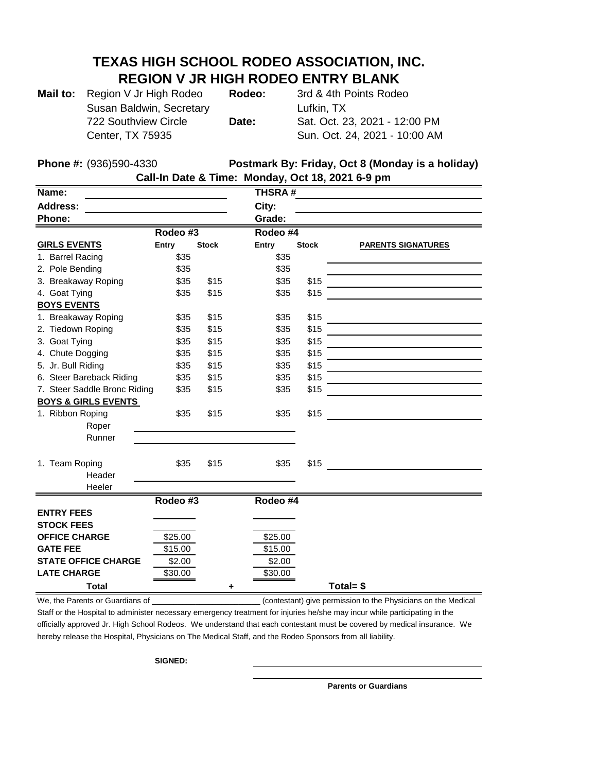## **TEXAS HIGH SCHOOL RODEO ASSOCIATION, INC. REGION V JR HIGH RODEO ENTRY BLANK**

| Mail to: Region V Jr High Rodeo | Rodeo: | 3rd & 4th Points Rodeo        |
|---------------------------------|--------|-------------------------------|
| Susan Baldwin, Secretary        |        | Lufkin, TX                    |
| 722 Southview Circle            | Date:  | Sat. Oct. 23, 2021 - 12:00 PM |
| <b>Center, TX 75935</b>         |        | Sun. Oct. 24, 2021 - 10:00 AM |
|                                 |        |                               |

**Phone #:** (936)590-4330 **Postmark By: Friday, Oct 8 (Monday is a holiday) Call-In Date & Time: Monday, Oct 18, 2021 6-9 pm**

| Name:                          |          | <b>THSRA#</b> |          |              |                                                           |
|--------------------------------|----------|---------------|----------|--------------|-----------------------------------------------------------|
| <b>Address:</b>                |          | City:         |          |              |                                                           |
| Phone:                         |          |               | Grade:   |              |                                                           |
| Rodeo #3                       |          |               | Rodeo #4 |              |                                                           |
| <b>GIRLS EVENTS</b>            | Entry    | <b>Stock</b>  | Entry    | <b>Stock</b> | <b>PARENTS SIGNATURES</b>                                 |
| 1. Barrel Racing               | \$35     |               | \$35     |              |                                                           |
| 2. Pole Bending                | \$35     |               | \$35     |              |                                                           |
| 3. Breakaway Roping            | \$35     | \$15          | \$35     | \$15         |                                                           |
| 4. Goat Tying                  | \$35     | \$15          | \$35     | \$15         |                                                           |
| <b>BOYS EVENTS</b>             |          |               |          |              |                                                           |
| 1. Breakaway Roping            | \$35     | \$15          | \$35     | \$15         |                                                           |
| 2. Tiedown Roping              | \$35     | \$15          | \$35     | \$15         |                                                           |
| 3. Goat Tying                  | \$35     | \$15          | \$35     | \$15         |                                                           |
| 4. Chute Dogging               | \$35     | \$15          | \$35     | \$15         |                                                           |
| 5. Jr. Bull Riding             | \$35     | \$15          | \$35     | \$15         | <u> 1980 - Johann Barnett, fransk politiker (d. 1980)</u> |
| 6. Steer Bareback Riding       | \$35     | \$15          | \$35     | \$15         |                                                           |
| 7. Steer Saddle Bronc Riding   | \$35     | \$15          | \$35     | \$15         |                                                           |
| <b>BOYS &amp; GIRLS EVENTS</b> |          |               |          |              |                                                           |
| 1. Ribbon Roping               | \$35     | \$15          | \$35     | \$15         |                                                           |
| Roper                          |          |               |          |              |                                                           |
| Runner                         |          |               |          |              |                                                           |
|                                |          |               |          |              |                                                           |
| 1. Team Roping                 | \$35     | \$15          | \$35     | \$15         |                                                           |
| Header                         |          |               |          |              |                                                           |
| Heeler                         |          |               |          |              |                                                           |
|                                | Rodeo #3 |               | Rodeo #4 |              |                                                           |
| <b>ENTRY FEES</b>              |          |               |          |              |                                                           |
| <b>STOCK FEES</b>              |          |               |          |              |                                                           |
| <b>OFFICE CHARGE</b>           | \$25.00  |               | \$25.00  |              |                                                           |
| <b>GATE FEE</b>                | \$15.00  |               | \$15.00  |              |                                                           |
| <b>STATE OFFICE CHARGE</b>     | \$2.00   |               | \$2.00   |              |                                                           |
| <b>LATE CHARGE</b>             | \$30.00  |               | \$30.00  |              |                                                           |
| <b>Total</b>                   |          | ٠             |          |              | Total= $$$                                                |

We, the Parents or Guardians of \_\_\_\_\_\_\_\_\_\_\_\_\_\_\_\_\_\_\_\_\_\_\_\_\_\_\_\_\_\_\_(contestant) give permission to the Physicians on the Medical

Staff or the Hospital to administer necessary emergency treatment for injuries he/she may incur while participating in the officially approved Jr. High School Rodeos. We understand that each contestant must be covered by medical insurance. We hereby release the Hospital, Physicians on The Medical Staff, and the Rodeo Sponsors from all liability.

**SIGNED:** 

**Parents or Guardians**